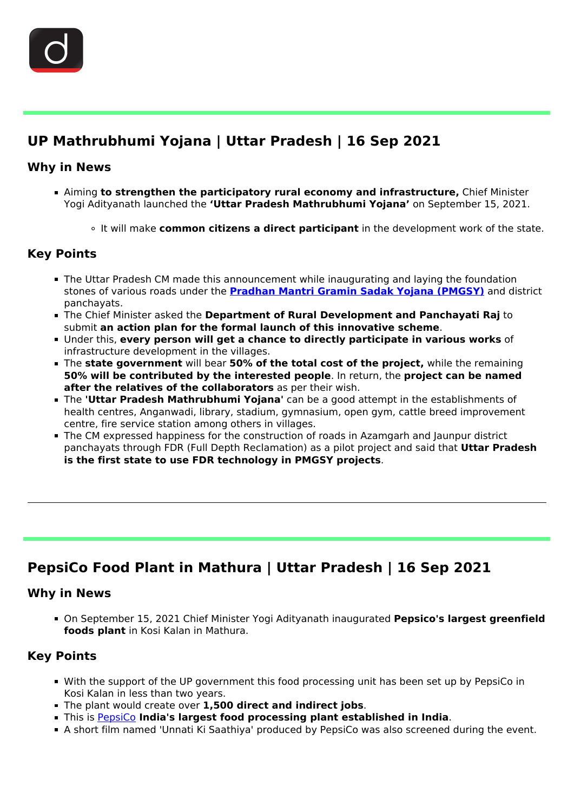

i<br>I

# **UP Mathrubhumi Yojana | Uttar Pradesh | 16 Sep 2021**

# **Why in News**

- Aiming **to strengthen the participatory rural economy and infrastructure,** Chief Minister Yogi Adityanath launched the **'Uttar Pradesh Mathrubhumi Yojana'** on September 15, 2021.
	- It will make **common citizens a direct participant** in the development work of the state.

# **Key Points**

- **The Uttar Pradesh CM made this announcement while inaugurating and laying the foundation** stones of various roads under the **[Pradhan Mantri Gramin Sadak Yojana \(PMGSY\)](/daily-updates/daily-news-analysis/pradhan-mantri-gram-sadak-yojana)** and district panchayats.
- The Chief Minister asked the **Department of Rural Development and Panchayati Raj** to submit **an action plan for the formal launch of this innovative scheme**.
- Under this, **every person will get a chance to directly participate in various works** of infrastructure development in the villages.
- The **state government** will bear **50% of the total cost of the project,** while the remaining **50% will be contributed by the interested people**. In return, the **project can be named after the relatives of the collaborators** as per their wish.
- The **'Uttar Pradesh Mathrubhumi Yojana'** can be a good attempt in the establishments of health centres, Anganwadi, library, stadium, gymnasium, open gym, cattle breed improvement centre, fire service station among others in villages.
- The CM expressed happiness for the construction of roads in Azamgarh and Jaunpur district panchayats through FDR (Full Depth Reclamation) as a pilot project and said that **Uttar Pradesh is the first state to use FDR technology in PMGSY projects**.

# **PepsiCo Food Plant in Mathura | Uttar Pradesh | 16 Sep 2021**

#### **Why in News**

Ĩ

On September 15, 2021 Chief Minister Yogi Adityanath inaugurated **Pepsico's largest greenfield foods plant** in Kosi Kalan in Mathura.

# **Key Points**

- With the support of the UP government this food processing unit has been set up by PepsiCo in Kosi Kalan in less than two years.
- The plant would create over **1,500 direct and indirect jobs**.
- This is [PepsiCo](/daily-updates/daily-news-analysis/pepsico-sues-potato-farmers) **India's largest food processing plant established in India**.
- A short film named 'Unnati Ki Saathiya' produced by PepsiCo was also screened during the event.